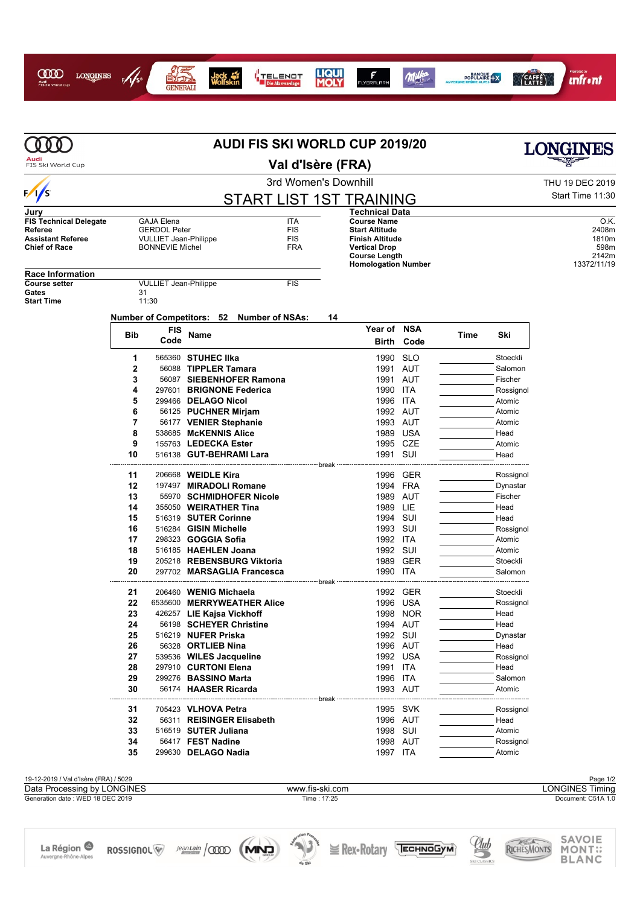

## I<mark>I</mark><br>I TELENOT<br>I Die Alarmanlage Jack<br>Wolfskin







|                                                    | AUDI FIS SKI WORLD CUP 2019/20 |                                                        |                                                    |                                |       |                                                                                                      |                      |      |                     | LONGINES               |                                       |
|----------------------------------------------------|--------------------------------|--------------------------------------------------------|----------------------------------------------------|--------------------------------|-------|------------------------------------------------------------------------------------------------------|----------------------|------|---------------------|------------------------|---------------------------------------|
| Audi<br>FIS Ski World Cup                          | Val d'Isère (FRA)              |                                                        |                                                    |                                |       |                                                                                                      |                      |      |                     |                        |                                       |
|                                                    |                                |                                                        |                                                    | 3rd Women's Downhill           |       |                                                                                                      |                      |      |                     | THU 19 DEC 2019        |                                       |
| $\frac{1}{5}$                                      |                                |                                                        |                                                    | <b>START LIST 1ST TRAINING</b> |       |                                                                                                      |                      |      |                     | Start Time 11:30       |                                       |
| Jury                                               |                                |                                                        |                                                    |                                |       | <b>Technical Data</b>                                                                                |                      |      |                     |                        |                                       |
| <b>FIS Technical Delegate</b>                      |                                | <b>GAJA Elena</b>                                      |                                                    | <b>ITA</b>                     |       | <b>Course Name</b>                                                                                   |                      |      |                     |                        | O.K.                                  |
| Referee<br><b>Assistant Referee</b>                |                                | <b>GERDOL Peter</b>                                    |                                                    | <b>FIS</b><br><b>FIS</b>       |       | <b>Start Altitude</b>                                                                                |                      |      |                     |                        | 2408m                                 |
| <b>Chief of Race</b>                               |                                | <b>VULLIET Jean-Philippe</b><br><b>BONNEVIE Michel</b> |                                                    | <b>FRA</b>                     |       | <b>Finish Altitude</b><br><b>Vertical Drop</b><br><b>Course Length</b><br><b>Homologation Number</b> |                      |      |                     |                        | 1810m<br>598m<br>2142m<br>13372/11/19 |
| <b>Race Information</b>                            |                                |                                                        |                                                    |                                |       |                                                                                                      |                      |      |                     |                        |                                       |
| <b>Course setter</b><br>Gates<br><b>Start Time</b> | 31                             | <b>VULLIET Jean-Philippe</b><br>11:30                  |                                                    | <b>FIS</b>                     |       |                                                                                                      |                      |      |                     |                        |                                       |
|                                                    |                                |                                                        | Number of Competitors: 52 Number of NSAs:          |                                | 14    |                                                                                                      |                      |      |                     |                        |                                       |
|                                                    |                                | <b>FIS</b>                                             |                                                    |                                |       | Year of                                                                                              | <b>NSA</b>           |      |                     |                        |                                       |
|                                                    | <b>Bib</b>                     | Code                                                   | Name                                               |                                |       | Birth                                                                                                | Code                 | Time | Ski                 |                        |                                       |
|                                                    | 1                              |                                                        | 565360 STUHEC IIka                                 |                                |       |                                                                                                      | 1990 SLO             |      | Stoeckli            |                        |                                       |
|                                                    | $\overline{2}$                 |                                                        | 56088 TIPPLER Tamara                               |                                |       | 1991                                                                                                 | AUT                  |      | Salomon             |                        |                                       |
|                                                    | 3                              |                                                        | 56087 SIEBENHOFER Ramona                           |                                |       |                                                                                                      | 1991 AUT             |      | Fischer             |                        |                                       |
|                                                    | 4                              |                                                        | 297601 BRIGNONE Federica                           |                                |       | 1990 ITA                                                                                             |                      |      | Rossignol           |                        |                                       |
|                                                    | 5                              |                                                        | 299466 DELAGO Nicol                                |                                |       | 1996                                                                                                 | ITA                  |      | Atomic              |                        |                                       |
|                                                    | 6                              |                                                        | 56125 PUCHNER Mirjam                               |                                |       | 1992 AUT                                                                                             |                      |      | Atomic              |                        |                                       |
|                                                    | 7<br>8                         |                                                        | 56177 VENIER Stephanie<br>538685 McKENNIS Alice    |                                |       | 1989                                                                                                 | 1993 AUT<br>USA      |      | Atomic<br>Head      |                        |                                       |
|                                                    | 9                              |                                                        | 155763 LEDECKA Ester                               |                                |       |                                                                                                      | 1995 CZE             |      | Atomic              |                        |                                       |
|                                                    | 10                             |                                                        | 516138 GUT-BEHRAMI Lara                            |                                |       | 1991                                                                                                 | SUI                  |      | Head                |                        |                                       |
|                                                    |                                |                                                        |                                                    |                                | break |                                                                                                      |                      |      |                     |                        |                                       |
|                                                    | 11                             |                                                        | 206668 WEIDLE Kira                                 |                                |       |                                                                                                      | 1996 GER             |      | Rossignol           |                        |                                       |
|                                                    | 12<br>13                       |                                                        | 197497 MIRADOLI Romane<br>55970 SCHMIDHOFER Nicole |                                |       |                                                                                                      | 1994 FRA<br>1989 AUT |      | Dynastar<br>Fischer |                        |                                       |
|                                                    | 14                             |                                                        | 355050 WEIRATHER Tina                              |                                |       | 1989 LIE                                                                                             |                      |      | Head                |                        |                                       |
|                                                    | 15                             |                                                        | 516319 SUTER Corinne                               |                                |       | 1994 SUI                                                                                             |                      |      | Head                |                        |                                       |
|                                                    | 16                             |                                                        | 516284 GISIN Michelle                              |                                |       | 1993 SUI                                                                                             |                      |      | Rossignol           |                        |                                       |
|                                                    | 17                             |                                                        | 298323 <b>GOGGIA Sofia</b>                         |                                |       | 1992 ITA                                                                                             |                      |      | Atomic              |                        |                                       |
|                                                    | 18                             |                                                        | 516185 HAEHLEN Joana                               |                                |       | 1992 SUI                                                                                             |                      |      | Atomic              |                        |                                       |
|                                                    | 19                             |                                                        | 205218 REBENSBURG Viktoria                         |                                |       |                                                                                                      | 1989 GER             |      | Stoeckli            |                        |                                       |
|                                                    | 20                             |                                                        | 297702 MARSAGLIA Francesca                         |                                |       | 1990 ITA                                                                                             |                      |      | Salomon             |                        |                                       |
|                                                    | 21                             |                                                        | 206460 WENIG Michaela                              |                                |       |                                                                                                      | 1992 GER             |      | Stoeckli            |                        |                                       |
|                                                    | 22                             |                                                        | 6535600 MERRYWEATHER Alice                         |                                |       |                                                                                                      | 1996 USA             |      | Rossignol           |                        |                                       |
|                                                    | 23                             |                                                        | 426257 LIE Kajsa Vickhoff                          |                                |       |                                                                                                      | 1998 NOR             |      | Head                |                        |                                       |
|                                                    | 24                             |                                                        | 56198 SCHEYER Christine                            |                                |       |                                                                                                      | 1994 AUT             |      | Head                |                        |                                       |
|                                                    | 25                             |                                                        | 516219 NUFER Priska                                |                                |       | 1992 SUI                                                                                             |                      |      | Dynastar            |                        |                                       |
|                                                    | 26<br>27                       |                                                        | 56328 ORTLIEB Nina<br>539536 WILES Jacqueline      |                                |       |                                                                                                      | 1996 AUT<br>1992 USA |      | Head                |                        |                                       |
|                                                    | 28                             |                                                        | 297910 CURTONI Elena                               |                                |       | 1991 ITA                                                                                             |                      |      | Rossignol<br>Head   |                        |                                       |
|                                                    | 29                             |                                                        | 299276 BASSINO Marta                               |                                |       | 1996 ITA                                                                                             |                      |      | Salomon             |                        |                                       |
|                                                    | 30                             |                                                        | 56174 HAASER Ricarda                               |                                |       |                                                                                                      | 1993 AUT             |      | Atomic              |                        |                                       |
|                                                    |                                |                                                        |                                                    |                                | break |                                                                                                      |                      |      |                     |                        |                                       |
|                                                    | 31                             |                                                        | 705423 VLHOVA Petra                                |                                |       |                                                                                                      | 1995 SVK             |      | Rossignol           |                        |                                       |
|                                                    | 32<br>33                       |                                                        | 56311 REISINGER Elisabeth<br>516519 SUTER Juliana  |                                |       | 1998 SUI                                                                                             | 1996 AUT             |      | Head<br>Atomic      |                        |                                       |
|                                                    | 34                             |                                                        | 56417 FEST Nadine                                  |                                |       |                                                                                                      | 1998 AUT             |      | Rossignol           |                        |                                       |
|                                                    | 35                             |                                                        | 299630 DELAGO Nadia                                |                                |       | 1997 ITA                                                                                             |                      |      | Atomic              |                        |                                       |
|                                                    |                                |                                                        |                                                    |                                |       |                                                                                                      |                      |      |                     |                        |                                       |
| 19-12-2019 / Val d'Isère (FRA) / 5029              |                                |                                                        |                                                    |                                |       |                                                                                                      |                      |      |                     |                        | Page 1/2                              |
| Data Processing by LONGINES                        |                                |                                                        |                                                    | www.fis-ski.com                |       |                                                                                                      |                      |      |                     | <b>LONGINES Timing</b> |                                       |